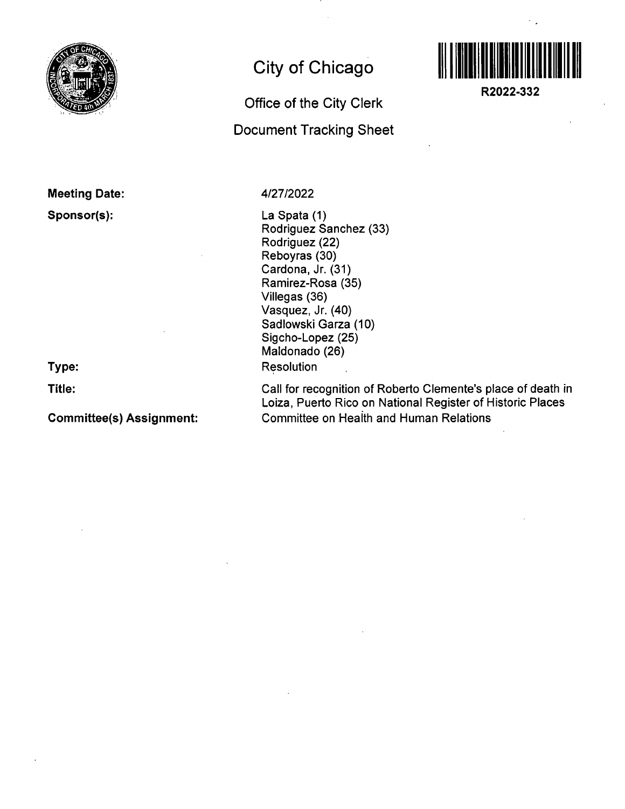

**Meeting Date:** 

**Sponsor(s):** 

**Type:** 

**Title:** 

**Committee(s) Assignment:** 

## **City of Chicago**

**Office of the City Clerk** 

**Document Tracking Sheet** 



**R2022-332** 

4/27/2022

La Spata (1) Rodriguez Sanchez (33) Rodriguez (22) Reboyras (30) Cardona, Jr. (31) Ramirez-Rosa (35) Viliegas (36) Vasquez, Jr. (40) Sadlowski Garza (10) Sigcho-Lopez (25) Maldonado (26) Resolution

Call for recognition of Roberto Clemente's place of death in Loiza, Puerto Rico on National Register of Historic Places Committee on Health and Human Relations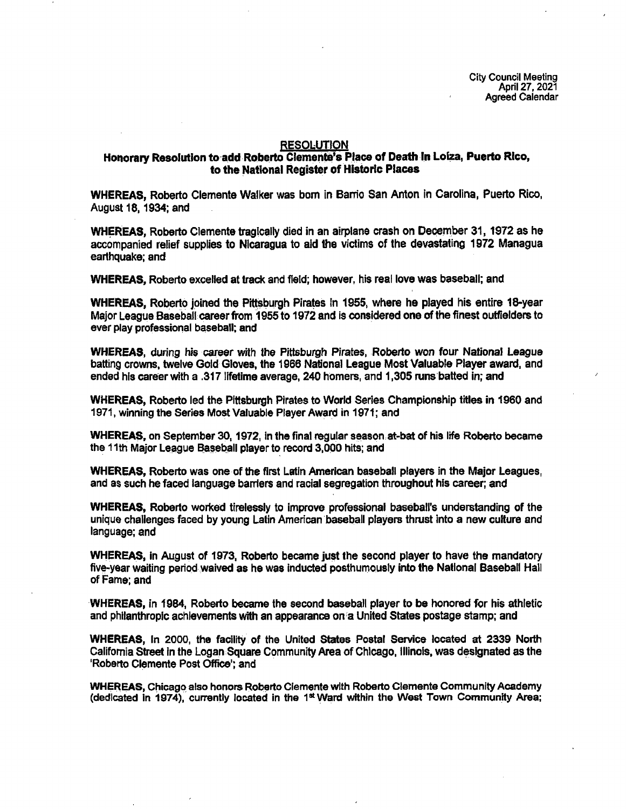City Council Meeting April 27.2021 Agreed Calendar

## RESOLUTION

## **Honorary Resolution to add Roberto Clemente's Place of Deatti In Loiza, Puerto Rico, to the National Register of Historic Places**

WHEREAS, Roberto Clemente Walker was bom in Bam'o San Anton in Carolina, Puerto Rico, August 18,1934; and

WHEREAS, Roberto Clemente tragically died in an airplane crash on December 31,1972 as he accompanied relief supplies to Nicaragua to aid the victims of the devastating 1972 Managua earthquake; and

WHEREAS, Roberto excelled at track and field; however, his real love was baseball; and

WHEREAS, Roberto joined the Pittsburgh Pirates In 1955, where he played his entire 18-year Major League Baseball career from 1955 to 1972 and is considered one of the finest outfielders to ever play professional baseball; and

WHEREAS, during his career with the Pittsbuiph Pirates. Roberto won four National League batting crowns, twelve Gold Gloves, the 1966 National League Most Valuable Player award, and ended his careerwith a .317 lifetime average, 240 homers, and 1,305 runs batted in; and

WHEREAS, Roberto led the Pittsburgh Pirates to World Series Championship titles in 1960 and 1971, winning the Series Most Valuable Player Award in 1971; and

WHEREAS, on September 30,1972, in the final regular season at-bat of his life Roberto became the 11th Major League Baseball player to record 3,000 hits; and

WHEREAS, Roberto was one of the first Latin American baseball players in the Major Leagues, and as such he faced language barriers and racial segregation throughout his career; and

WHEREAS, Roberto worked tirelessly to improve professional baseball's understanding of the unique challenges faced by young Latin American baseball players thrust into a new culture and language; and

WHEREAS, in August of 1973, Roberto became just the second player to have the mandatory five-year waiting period waived as he was inducted posthumously Into the National Baseball Hall of Fame; and

WHEREAS, in 1984, Roberto became the second baseball player to be honored for his athletic and philanthropic achievements with an appearance on a United States postage stamp; and

WHEREAS, In 2000, the facility of the United States Postal Service located at 2339 North Califomia Street In the Logan Square Community Area of Chicago, Illinois, was designated as the 'Roberto Clemente Post Office'; and

WHEREAS, Chicago also honors Roberto Clemente with Roberto Clemente Community Academy (dedicated in 1974), currently located in the  $1^{\text{st}}$  Ward within the West Town Community Area;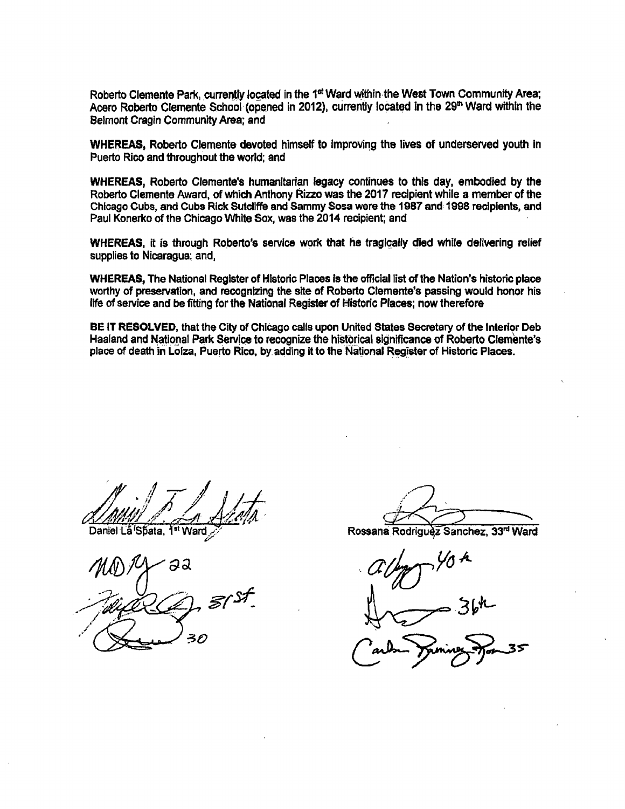Roberto Clemente Park, currently located in the 1<sup>st</sup> Ward within the West Town Community Area; Acero Roberto Clemente School (opened in 2012), currently located in the 29<sup>th</sup> Ward within the Belmont Cragin Community Area; and

WHEREAS, Roberto Clemente devoted himself to improving the lives of underserved youth in Puerto Rico and throughout the world; and

WHEREAS, Roberto Clemente's humanitarian legacy continues to this day, embodied by the Roberto Clemente Award, of which Anthony Rizzo was the 2017 recipient while a member of the Chicago Cubs, and Cubs Rick Sutcliffe and Sammy Sosa were the 1987 and 1998 recipients, and Paul Konerko of the Chicago White Sox, was the 2014 recipient; and

WHEREAS, it is through Roberto's service work that he tragically died while delivering relief supplies to Nicaragua; and,

WHEREAS, The National Register of Historic Places is the official list of the Nation's historic place worthy of preservation, and recognizing the site of Roberto Clemente's passing would honor his life of sen/ice and be fitting for the National Register of Historic Places; now therefore

BE IT RESOLVED, that the City of Chicago calls upon United States Secretary of the Interior Deb Haaland and National Park Service to recognize the historical significance of Roberto Clemente's place of death in Lofza, Puerto Rico, by adding it to the National Register of Historic Places.

əa 30

Daniel La'Spata, 1<sup>st</sup> Ward Manuel Contract Rossana Rodriguez Sanchez, 33<sup>nd</sup> Ward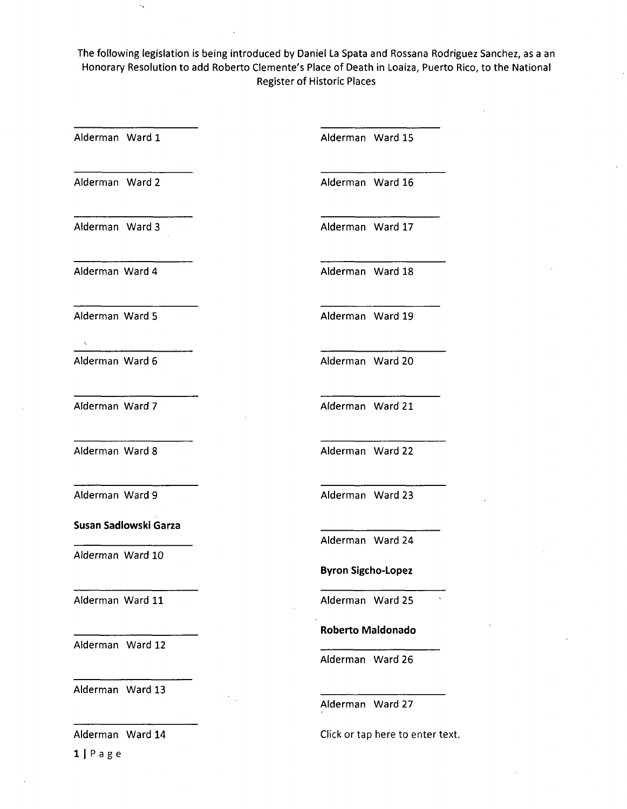The following legislation is being introduced by Daniel La Spata and Rossana Rodriguez Sanchez, as a an Honorary Resolution to add Roberto Clemente's Place of Death in Loaiza, Puerto Rico, to the National Register of Historic Places

Click or tap here to enter text.

Alderman Ward 10 Alderman Ward 11 Alderman Ward 12 Alderman Ward 13 Alderman Ward 1 Alderman Ward 15 Alderman Ward 2 **Alderman Ward 16** Alderman Ward 3 Alderman Ward 17 Alderman Ward 4 Alderman Ward 18 Alderman Ward 5 Alderman Ward 19 Alderman Ward 6 **Alderman Ward 20** Alderman Ward 7 Alderman Ward 21 Alderman Ward 8 **Alderman Ward 22 Alderman Ward 9 Susan Sadlowski Garza**  Alderman Ward 23 **Alderman Ward 24 Byron Sigcho-Lopez Alderman Ward 25 Roberto Maldonado**  Alderman Ward 26 Alderman Ward 27

Alderman Ward 14

1 1 Page